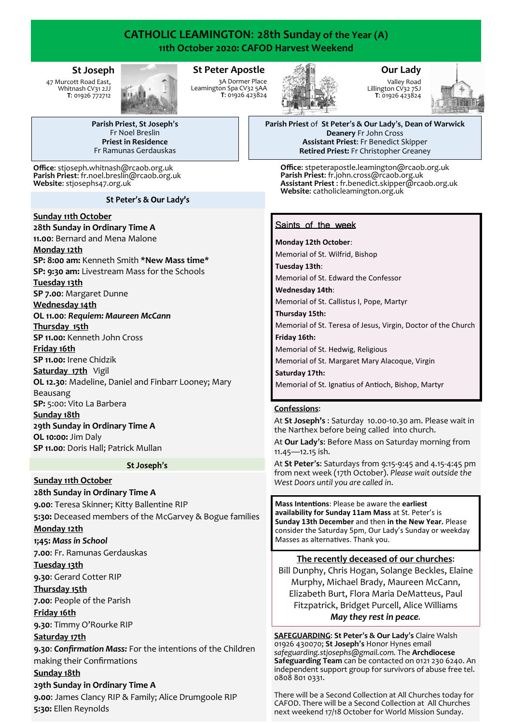# **CATHOLIC LEAMINGTON**: **28th Sunday of the Year (A) 11th October 2020: CAFOD Harvest Weekend**

#### **St Joseph**

47 Murcott Road East, Whitnash CV31 2JJ **T**: 01926 772712



## **St Peter Apostle**

3A Dormer Place Leamington Spa CV32 5AA **T**: 01926 423824



## **Our Lady**

Valley Road Lillington CV32 7SJ **T**: 01926 423824



**Parish Priest**, **St Joseph**'**s** Fr Noel Breslin **Priest in Residence** Fr Ramunas Gerdauskas

**Office**: stjoseph.whitnash@rcaob.org.uk **Parish Priest**: fr.noel.breslin@rcaob.org.uk **Website**: stjosephs47.org.uk

St Peter's & Our Lady's

#### **Sunday 11th October**

**28th Sunday in Ordinary Time A**

**11.00**: Bernard and Mena Malone

#### **Monday 12th**

**SP: 8:00 am:** Kenneth Smith **\*New Mass time\* SP: 9:30 am:** Livestream Mass for the Schools **Tuesday 13th SP 7.00**: Margaret Dunne

## **Wednesday 14th**

**OL 11.00**: *Requiem: Maureen McCann*

**Thursday 15th**

**SP 11.00:** Kenneth John Cross

#### **Friday 16th**

**SP 11.00:** Irene Chidzik

**Saturday 17th** Vigil

**OL 12.30**: Madeline, Daniel and Finbarr Looney; Mary

Beausang **SP:** 5:00: Vito La Barbera

## **Sunday 18th**

**29th Sunday in Ordinary Time A OL 10:00:** Jim Daly **SP 11.00**: Doris Hall; Patrick Mullan

#### St Joseph's

**Sunday 11th October**

**28th Sunday in Ordinary Time A**

**9.00**: Teresa Skinner; Kitty Ballentine RIP **5:30:** Deceased members of the McGarvey & Bogue families

#### **Monday 12th**

**1;45:** *Mass in School*

**7.00**: Fr. Ramunas Gerdauskas

#### **Tuesday 13th**

**9.30**: Gerard Cotter RIP

## **Thursday 15th**

**7.00**: People of the Parish

## **Friday 16th**

**9.30**: Timmy O'Rourke RIP

## **Saturday 17th**

**9.30**: *Confirmation Mass:* For the intentions of the Children making their Confirmations

#### **Sunday 18th**

## **29th Sunday in Ordinary Time A**

**9.00**: James Clancy RIP & Family; Alice Drumgoole RIP **5:30:** Ellen Reynolds

**Parish Priest** of **St Peter**'**s & Our Lady**'**s**, **Dean of Warwick Deanery** Fr John Cross **Assistant Priest**: Fr Benedict Skipper **Retired Priest:** Fr Christopher Greaney

**Office**: stpeterapostle.leamington@rcaob.org.uk **Parish Priest**: fr.john.cross@rcaob.org.uk **Assistant Priest** : fr.benedict.skipper@rcaob.org.uk **Website**: catholicleamington.org.uk

## Saints of the week

#### **Monday 12th October**:

Memorial of St. Wilfrid, Bishop **Tuesday 13th**:

Memorial of St. Edward the Confessor

**Wednesday 14th**:

Memorial of St. Callistus I, Pope, Martyr

**Thursday 15th:** 

Memorial of St. Teresa of Jesus, Virgin, Doctor of the Church **Friday 16th:** 

Memorial of St. Hedwig, Religious

Memorial of St. Margaret Mary Alacoque, Virgin

**Saturday 17th:** 

Memorial of St. Ignatius of Antioch, Bishop, Martyr

#### **Confessions**:

At **St Joseph's** : Saturday 10.00-10.30 am. Please wait in the Narthex before being called into church.

At **Our Lady**'**s**: Before Mass on Saturday morning from 11.45—12.15 ish.

At **St Peter**'**s**: Saturdays from 9:15-9:45 and 4.15-4:45 pm from next week (17th October). *Please wait outside the West Doors until you are called in*.

**Mass Intentions**: Please be aware the **earliest availability for Sunday 11am Mass** at St. Peter's is **Sunday 13th December** and then **in the New Year.** Please consider the Saturday 5pm, Our Lady's Sunday or weekday Masses as alternatives. Thank you.

## **The recently deceased of our churches**:

Bill Dunphy, Chris Hogan, Solange Beckles, Elaine Murphy, Michael Brady, Maureen McCann, Elizabeth Burt, Flora Maria DeMatteus, Paul Fitzpatrick, Bridget Purcell, Alice Williams *May they rest in peace.*

**SAFEGUARDING**: **St Peter**'**s & Our Lady**'**s** Claire Walsh 01926 430070; **St Joseph**'**s** Honor Hynes email *safeguarding.stjosephs@gmail.com.* The **Archdiocese Safeguarding Team** can be contacted on 0121 230 6240. An independent support group for survivors of abuse free tel. 0808 801 0331.

There will be a Second Collection at All Churches today for CAFOD. There will be a Second Collection at All Churches next weekend 17/18 October for World Mission Sunday.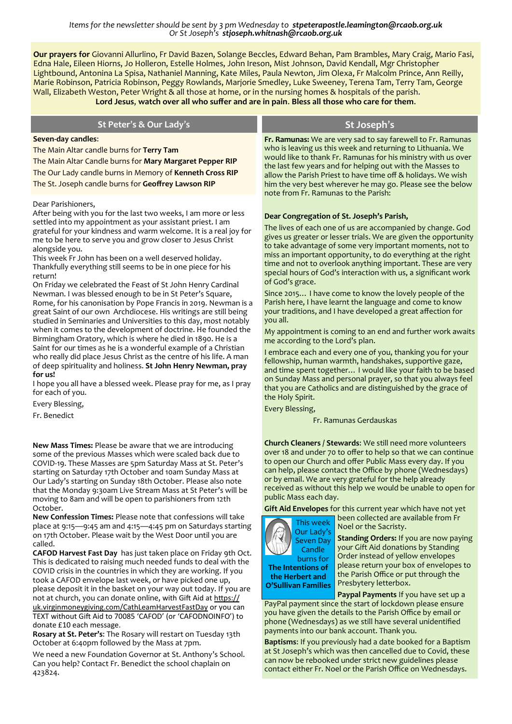*Items for the newsletter should be sent by 3 pm Wednesday to stpeterapostle.leamington@rcaob.org.uk Or St Joseph's stjoseph.whitnash@rcaob.org.uk* 

**Our prayers for** Giovanni Allurlino, Fr David Bazen, Solange Beccles, Edward Behan, Pam Brambles, Mary Craig, Mario Fasi, Edna Hale, Eileen Hiorns, Jo Holleron, Estelle Holmes, John Ireson, Mist Johnson, David Kendall, Mgr Christopher Lightbound, Antonina La Spisa, Nathaniel Manning, Kate Miles, Paula Newton, Jim Olexa, Fr Malcolm Prince, Ann Reilly, Marie Robinson, Patricia Robinson, Peggy Rowlands, Marjorie Smedley, Luke Sweeney, Terena Tam, Terry Tam, George Wall, Elizabeth Weston, Peter Wright & all those at home, or in the nursing homes & hospitals of the parish. **Lord Jesus**, **watch over all who suffer and are in pain**. **Bless all those who care for them**.

| St Peter's & Our Lady's                                                                                                                                                                                                                                                                                                                                                                                                                                                                                                                                                                                                                                                                                                                                                                                                                                                                                                                                                                                                                                                                                                                                                                                                                                            | St Joseph's                                                                                                                                                                                                                                                                                                                                                                                                                                                                                                                                                                                                                                                                                                                                                                                                                                                                                                                                                                                                                                                                                                                                           |
|--------------------------------------------------------------------------------------------------------------------------------------------------------------------------------------------------------------------------------------------------------------------------------------------------------------------------------------------------------------------------------------------------------------------------------------------------------------------------------------------------------------------------------------------------------------------------------------------------------------------------------------------------------------------------------------------------------------------------------------------------------------------------------------------------------------------------------------------------------------------------------------------------------------------------------------------------------------------------------------------------------------------------------------------------------------------------------------------------------------------------------------------------------------------------------------------------------------------------------------------------------------------|-------------------------------------------------------------------------------------------------------------------------------------------------------------------------------------------------------------------------------------------------------------------------------------------------------------------------------------------------------------------------------------------------------------------------------------------------------------------------------------------------------------------------------------------------------------------------------------------------------------------------------------------------------------------------------------------------------------------------------------------------------------------------------------------------------------------------------------------------------------------------------------------------------------------------------------------------------------------------------------------------------------------------------------------------------------------------------------------------------------------------------------------------------|
| Seven-day candles:<br>The Main Altar candle burns for Terry Tam<br>The Main Altar Candle burns for Mary Margaret Pepper RIP<br>The Our Lady candle burns in Memory of Kenneth Cross RIP<br>The St. Joseph candle burns for Geoffrey Lawson RIP                                                                                                                                                                                                                                                                                                                                                                                                                                                                                                                                                                                                                                                                                                                                                                                                                                                                                                                                                                                                                     | Fr. Ramunas: We are very sad to say farewell to Fr. Ramunas<br>who is leaving us this week and returning to Lithuania. We<br>would like to thank Fr. Ramunas for his ministry with us over<br>the last few years and for helping out with the Masses to<br>allow the Parish Priest to have time off & holidays. We wish<br>him the very best wherever he may go. Please see the below<br>note from Fr. Ramunas to the Parish:                                                                                                                                                                                                                                                                                                                                                                                                                                                                                                                                                                                                                                                                                                                         |
| Dear Parishioners,<br>After being with you for the last two weeks, I am more or less<br>settled into my appointment as your assistant priest. I am<br>grateful for your kindness and warm welcome. It is a real joy for<br>me to be here to serve you and grow closer to Jesus Christ<br>alongside you.<br>This week Fr John has been on a well deserved holiday.<br>Thankfully everything still seems to be in one piece for his<br>return!<br>On Friday we celebrated the Feast of St John Henry Cardinal<br>Newman. I was blessed enough to be in St Peter's Square,<br>Rome, for his canonisation by Pope Francis in 2019. Newman is a<br>great Saint of our own Archdiocese. His writings are still being<br>studied in Seminaries and Universities to this day, most notably<br>when it comes to the development of doctrine. He founded the<br>Birmingham Oratory, which is where he died in 1890. He is a<br>Saint for our times as he is a wonderful example of a Christian<br>who really did place Jesus Christ as the centre of his life. A man<br>of deep spirituality and holiness. St John Henry Newman, pray<br>for us!<br>I hope you all have a blessed week. Please pray for me, as I pray<br>for each of you.<br>Every Blessing,<br>Fr. Benedict | Dear Congregation of St. Joseph's Parish,<br>The lives of each one of us are accompanied by change. God<br>gives us greater or lesser trials. We are given the opportunity<br>to take advantage of some very important moments, not to<br>miss an important opportunity, to do everything at the right<br>time and not to overlook anything important. These are very<br>special hours of God's interaction with us, a significant work<br>of God's grace.<br>Since 2015 I have come to know the lovely people of the<br>Parish here, I have learnt the language and come to know<br>your traditions, and I have developed a great affection for<br>you all.<br>My appointment is coming to an end and further work awaits<br>me according to the Lord's plan.<br>I embrace each and every one of you, thanking you for your<br>fellowship, human warmth, handshakes, supportive gaze,<br>and time spent together I would like your faith to be based<br>on Sunday Mass and personal prayer, so that you always feel<br>that you are Catholics and are distinguished by the grace of<br>the Holy Spirit.<br>Every Blessing,<br>Fr. Ramunas Gerdauskas |
| New Mass Times: Please be aware that we are introducing<br>some of the previous Masses which were scaled back due to<br>COVID-19. These Masses are 5pm Saturday Mass at St. Peter's<br>starting on Saturday 17th October and 10am Sunday Mass at<br>Our Lady's starting on Sunday 18th October. Please also note<br>that the Monday 9:30am Live Stream Mass at St Peter's will be<br>moving to 8am and will be open to parishioners from 12th<br>October.<br>New Confession Times: Please note that confessions will take<br>place at 9:15-9:45 am and 4:15-4:45 pm on Saturdays starting<br>on 17th October. Please wait by the West Door until you are<br>called.<br>CAFOD Harvest Fast Day has just taken place on Friday 9th Oct.<br>This is dedicated to raising much needed funds to deal with the<br>$CovID$ crisis in the countries in which they are working If you                                                                                                                                                                                                                                                                                                                                                                                       | Church Cleaners / Stewards: We still need more volunteers<br>over 18 and under 70 to offer to help so that we can continue<br>to open our Church and offer Public Mass every day. If you<br>can help, please contact the Office by phone (Wednesdays)<br>or by email. We are very grateful for the help already<br>received as without this help we would be unable to open for<br>public Mass each day.<br>Gift Aid Envelopes for this current year which have not yet<br>been collected are available from Fr<br>This week<br>Noel or the Sacristy.<br>Our Lady's<br><b>Standing Orders: If you are now paying</b><br><b>Seven Day</b><br>your Gift Aid donations by Standing<br>Candle<br>Order instead of yellow envelopes<br>burns for<br>please return your box of envelopes to<br>The Intentions of                                                                                                                                                                                                                                                                                                                                            |

COVID crisis in the countries in which they are working. If  $\bm{\gamma}$ took a CAFOD envelope last week, or have picked one up, please deposit it in the basket on your way out today. If you are not at church, you can donate online, with Gift Aid at [https://](https://uk.virginmoneygiving.com/CathLeamHarvestFastDay) [uk.virginmoneygiving.com/CathLeamHarvestFastDay](https://uk.virginmoneygiving.com/CathLeamHarvestFastDay) or you can TEXT without Gift Aid to 70085 'CAFOD' (or 'CAFODNOINFO') to donate £10 each message.

**Rosary at St. Peter's**: The Rosary will restart on Tuesday 13th October at 6:40pm followed by the Mass at 7pm.

We need a new Foundation Governor at St. Anthony's School. Can you help? Contact Fr. Benedict the school chaplain on 423824.

the Parish Office or put through the Presbytery letterbox. **the Herbert and O'Sullivan Families**

**Paypal Payments** If you have set up a PayPal payment since the start of lockdown please ensure you have given the details to the Parish Office by email or phone (Wednesdays) as we still have several unidentified payments into our bank account. Thank you.

**Baptisms**: If you previously had a date booked for a Baptism at St Joseph's which was then cancelled due to Covid, these can now be rebooked under strict new guidelines please contact either Fr. Noel or the Parish Office on Wednesdays.